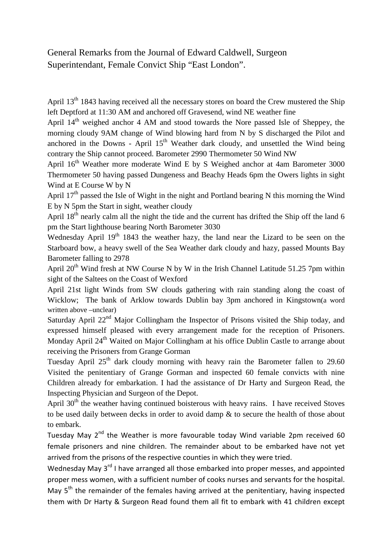## General Remarks from the Journal of Edward Caldwell, Surgeon Superintendant, Female Convict Ship "East London".

April 13<sup>th</sup> 1843 having received all the necessary stores on board the Crew mustered the Ship left Deptford at 11:30 AM and anchored off Gravesend, wind NE weather fine

April  $14<sup>th</sup>$  weighed anchor 4 AM and stood towards the Nore passed Isle of Sheppey, the morning cloudy 9AM change of Wind blowing hard from N by S discharged the Pilot and anchored in the Downs - April  $15<sup>th</sup>$  Weather dark cloudy, and unsettled the Wind being contrary the Ship cannot proceed. Barometer 2990 Thermometer 50 Wind NW

April  $16<sup>th</sup>$  Weather more moderate Wind E by S Weighed anchor at 4am Barometer 3000 Thermometer 50 having passed Dungeness and Beachy Heads 6pm the Owers lights in sight Wind at E Course W by N

April  $17<sup>th</sup>$  passed the Isle of Wight in the night and Portland bearing N this morning the Wind E by N 5pm the Start in sight, weather cloudy

April 18<sup>th</sup> nearly calm all the night the tide and the current has drifted the Ship off the land 6 pm the Start lighthouse bearing North Barometer 3030

Wednesday April 19<sup>th</sup> 1843 the weather hazy, the land near the Lizard to be seen on the Starboard bow, a heavy swell of the Sea Weather dark cloudy and hazy, passed Mounts Bay Barometer falling to 2978

April  $20^{th}$  Wind fresh at NW Course N by W in the Irish Channel Latitude 51.25 7pm within sight of the Saltees on the Coast of Wexford

April 21st light Winds from SW clouds gathering with rain standing along the coast of Wicklow; The bank of Arklow towards Dublin bay 3pm anchored in Kingstown(a word written above –unclear)

Saturday April  $22<sup>nd</sup>$  Major Collingham the Inspector of Prisons visited the Ship today, and expressed himself pleased with every arrangement made for the reception of Prisoners. Monday April 24<sup>th</sup> Waited on Major Collingham at his office Dublin Castle to arrange about receiving the Prisoners from Grange Gorman

Tuesday April  $25<sup>th</sup>$  dark cloudy morning with heavy rain the Barometer fallen to 29.60 Visited the penitentiary of Grange Gorman and inspected 60 female convicts with nine Children already for embarkation. I had the assistance of Dr Harty and Surgeon Read, the Inspecting Physician and Surgeon of the Depot.

April  $30<sup>th</sup>$  the weather having continued boisterous with heavy rains. I have received Stoves to be used daily between decks in order to avoid damp & to secure the health of those about to embark.

Tuesday May  $2^{nd}$  the Weather is more favourable today Wind variable 2pm received 60 female prisoners and nine children. The remainder about to be embarked have not yet arrived from the prisons of the respective counties in which they were tried.

Wednesday May 3<sup>rd</sup> I have arranged all those embarked into proper messes, and appointed proper mess women, with a sufficient number of cooks nurses and servants for the hospital. May 5<sup>th</sup> the remainder of the females having arrived at the penitentiary, having inspected them with Dr Harty & Surgeon Read found them all fit to embark with 41 children except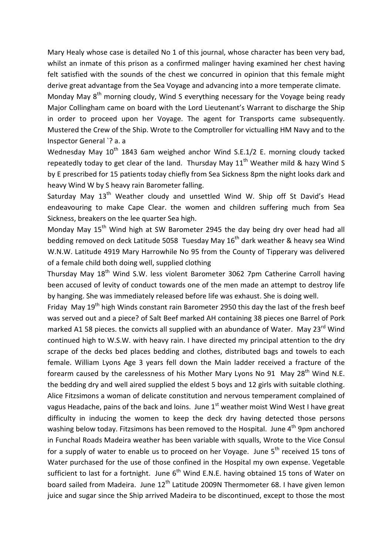Mary Healy whose case is detailed No 1 of this journal, whose character has been very bad, whilst an inmate of this prison as a confirmed malinger having examined her chest having felt satisfied with the sounds of the chest we concurred in opinion that this female might derive great advantage from the Sea Voyage and advancing into a more temperate climate.

Monday May  $8<sup>th</sup>$  morning cloudy, Wind S everything necessary for the Voyage being ready Major Collingham came on board with the Lord Lieutenant's Warrant to discharge the Ship in order to proceed upon her Voyage. The agent for Transports came subsequently. Mustered the Crew of the Ship. Wrote to the Comptroller for victualling HM Navy and to the Inspector General `? a. a

Wednesday May 10<sup>th</sup> 1843 6am weighed anchor Wind S.E.1/2 E. morning cloudy tacked repeatedly today to get clear of the land. Thursday May  $11<sup>th</sup>$  Weather mild & hazy Wind S by E prescribed for 15 patients today chiefly from Sea Sickness 8pm the night looks dark and heavy Wind W by S heavy rain Barometer falling.

Saturday May  $13<sup>th</sup>$  Weather cloudy and unsettled Wind W. Ship off St David's Head endeavouring to make Cape Clear. the women and children suffering much from Sea Sickness, breakers on the lee quarter Sea high.

Monday May 15<sup>th</sup> Wind high at SW Barometer 2945 the day being dry over head had all bedding removed on deck Latitude 5058 Tuesday May  $16<sup>th</sup>$  dark weather & heavy sea Wind W.N.W. Latitude 4919 Mary Harrowhile No 95 from the County of Tipperary was delivered of a female child both doing well, supplied clothing

Thursday May 18<sup>th</sup> Wind S.W. less violent Barometer 3062 7pm Catherine Carroll having been accused of levity of conduct towards one of the men made an attempt to destroy life by hanging. She was immediately released before life was exhaust. She is doing well.

Friday May  $19<sup>th</sup>$  high Winds constant rain Barometer 2950 this day the last of the fresh beef was served out and a piece? of Salt Beef marked AH containing 38 pieces one Barrel of Pork marked A1 58 pieces. the convicts all supplied with an abundance of Water. May 23<sup>rd</sup> Wind continued high to W.S.W. with heavy rain. I have directed my principal attention to the dry scrape of the decks bed places bedding and clothes, distributed bags and towels to each female. William Lyons Age 3 years fell down the Main ladder received a fracture of the forearm caused by the carelessness of his Mother Mary Lyons No 91 May 28<sup>th</sup> Wind N.E. the bedding dry and well aired supplied the eldest 5 boys and 12 girls with suitable clothing. Alice Fitzsimons a woman of delicate constitution and nervous temperament complained of vagus Headache, pains of the back and loins. June  $1^{\text{st}}$  weather moist Wind West I have great difficulty in inducing the women to keep the deck dry having detected those persons washing below today. Fitzsimons has been removed to the Hospital. June  $4<sup>th</sup>$  9pm anchored in Funchal Roads Madeira weather has been variable with squalls, Wrote to the Vice Consul for a supply of water to enable us to proceed on her Voyage. June  $5<sup>th</sup>$  received 15 tons of Water purchased for the use of those confined in the Hospital my own expense. Vegetable sufficient to last for a fortnight. June  $6<sup>th</sup>$  Wind E.N.E. having obtained 15 tons of Water on board sailed from Madeira. June 12<sup>th</sup> Latitude 2009N Thermometer 68. I have given lemon juice and sugar since the Ship arrived Madeira to be discontinued, except to those the most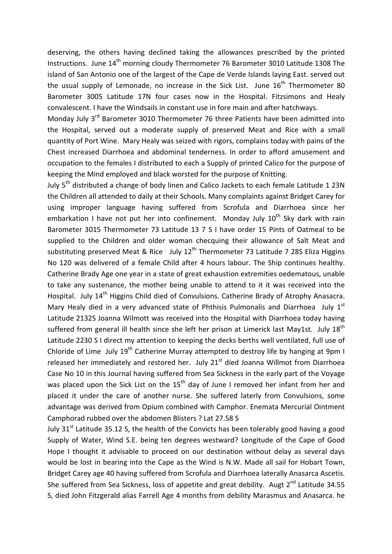deserving, the others having declined taking the allowances prescribed by the printed Instructions. June 14<sup>th</sup> morning cloudy Thermometer 76 Barometer 3010 Latitude 1308 The island of San Antonio one of the largest of the Cape de Verde Islands laying East. served out the usual supply of Lemonade, no increase in the Sick List. June  $16<sup>th</sup>$  Thermometer 80 Barometer 3005 Latitude 17N four cases now in the Hospital. Fitzsimons and Healy convalescent. I have the Windsails in constant use in fore main and after hatchways.

Monday July 3<sup>rd</sup> Barometer 3010 Thermometer 76 three Patients have been admitted into the Hospital, served out a moderate supply of preserved Meat and Rice with a small quantity of Port Wine. Mary Healy was seized with rigors, complains today with pains of the Chest increased Diarrhoea and abdominal tenderness. In order to afford amusement and occupation to the females I distributed to each a Supply of printed Calico for the purpose of keeping the Mind employed and black worsted for the purpose of Knitting.

July 5<sup>th</sup> distributed a change of body linen and Calico Jackets to each female Latitude 1 23N the Children all attended to daily at their Schools. Many complaints against Bridget Carey for using improper language having suffered from Scrofula and Diarrhoea since her embarkation I have not put her into confinement. Monday July  $10^{th}$  Sky dark with rain Barometer 3015 Thermometer 73 Latitude 13 7 S I have order 15 Pints of Oatmeal to be supplied to the Children and older woman checquing their allowance of Salt Meat and substituting preserved Meat & Rice July 12<sup>th</sup> Thermometer 73 Latitude 7 28S Eliza Higgins No 120 was delivered of a female Child after 4 hours labour. The Ship continues healthy. Catherine Brady Age one year in a state of great exhaustion extremities oedematous, unable to take any sustenance, the mother being unable to attend to it it was received into the Hospital. July 14<sup>th</sup> Higgins Child died of Convulsions. Catherine Brady of Atrophy Anasacra. Mary Healy died in a very advanced state of Phthisis Pulmonalis and Diarrhoea July  $1<sup>st</sup>$ Latitude 2132S Joanna Wilmott was received into the Hospital with Diarrhoea today having suffered from general ill health since she left her prison at Limerick last May1st. July  $18<sup>th</sup>$ Latitude 2230 S I direct my attention to keeping the decks berths well ventilated, full use of Chloride of Lime July 19<sup>th</sup> Catherine Murray attempted to destroy life by hanging at 9pm I released her immediately and restored her. July  $21<sup>st</sup>$  died Joanna Willmot from Diarrhoea Case No 10 in this Journal having suffered from Sea Sickness in the early part of the Voyage was placed upon the Sick List on the  $15<sup>th</sup>$  day of June I removed her infant from her and placed it under the care of another nurse. She suffered laterly from Convulsions, some advantage was derived from Opium combined with Camphor. Enemata Mercurial Ointment Camphorad rubbed over the abdomen Blisters ? Lat 27.58 S

July  $31<sup>st</sup>$  Latitude 35.12 S, the health of the Convicts has been tolerably good having a good Supply of Water, Wind S.E. being ten degrees westward? Longitude of the Cape of Good Hope I thought it advisable to proceed on our destination without delay as several days would be lost in bearing into the Cape as the Wind is N.W. Made all sail for Hobart Town, Bridget Carey age 40 having suffered from Scrofula and Diarrhoea laterally Anasarca Ascetis. She suffered from Sea Sickness, loss of appetite and great debility. Augt  $2^{nd}$  Latitude 34.55 S, died John Fitzgerald alias Farrell Age 4 months from debility Marasmus and Anasarca. he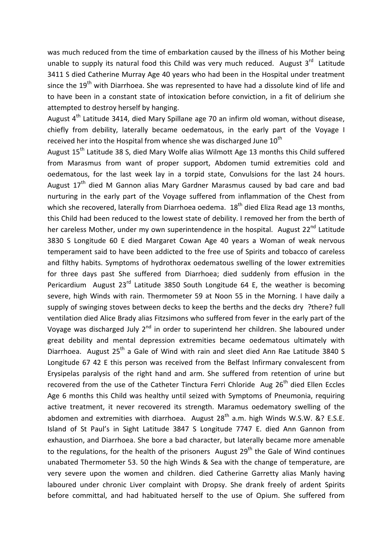was much reduced from the time of embarkation caused by the illness of his Mother being unable to supply its natural food this Child was very much reduced. August  $3^{rd}$  Latitude 3411 S died Catherine Murray Age 40 years who had been in the Hospital under treatment since the 19<sup>th</sup> with Diarrhoea. She was represented to have had a dissolute kind of life and to have been in a constant state of intoxication before conviction, in a fit of delirium she attempted to destroy herself by hanging.

August  $4<sup>th</sup>$  Latitude 3414, died Mary Spillane age 70 an infirm old woman, without disease, chiefly from debility, laterally became oedematous, in the early part of the Voyage I received her into the Hospital from whence she was discharged June  $10<sup>th</sup>$ 

August 15<sup>th</sup> Latitude 38 S, died Mary Wolfe alias Wilmott Age 13 months this Child suffered from Marasmus from want of proper support, Abdomen tumid extremities cold and oedematous, for the last week lay in a torpid state, Convulsions for the last 24 hours. August 17<sup>th</sup> died M Gannon alias Mary Gardner Marasmus caused by bad care and bad nurturing in the early part of the Voyage suffered from inflammation of the Chest from which she recovered, laterally from Diarrhoea oedema. 18<sup>th</sup> died Eliza Read age 13 months, this Child had been reduced to the lowest state of debility. I removed her from the berth of her careless Mother, under my own superintendence in the hospital. August 22<sup>nd</sup> Latitude 3830 S Longitude 60 E died Margaret Cowan Age 40 years a Woman of weak nervous temperament said to have been addicted to the free use of Spirits and tobacco of careless and filthy habits. Symptoms of hydrothorax oedematous swelling of the lower extremities for three days past She suffered from Diarrhoea; died suddenly from effusion in the Pericardium August  $23^{rd}$  Latitude 3850 South Longitude 64 E, the weather is becoming severe, high Winds with rain. Thermometer 59 at Noon 55 in the Morning. I have daily a supply of swinging stoves between decks to keep the berths and the decks dry ?there? full ventilation died Alice Brady alias Fitzsimons who suffered from fever in the early part of the Voyage was discharged July  $2<sup>nd</sup>$  in order to superintend her children. She laboured under great debility and mental depression extremities became oedematous ultimately with Diarrhoea. August  $25<sup>th</sup>$  a Gale of Wind with rain and sleet died Ann Rae Latitude 3840 S Longitude 67 42 E this person was received from the Belfast Infirmary convalescent from Erysipelas paralysis of the right hand and arm. She suffered from retention of urine but recovered from the use of the Catheter Tinctura Ferri Chloride Aug  $26<sup>th</sup>$  died Ellen Eccles Age 6 months this Child was healthy until seized with Symptoms of Pneumonia, requiring active treatment, it never recovered its strength. Maramus oedematory swelling of the abdomen and extremities with diarrhoea. August  $28<sup>th</sup>$  a.m. high Winds W.S.W. &? E.S.E. Island of St Paul's in Sight Latitude 3847 S Longitude 7747 E. died Ann Gannon from exhaustion, and Diarrhoea. She bore a bad character, but laterally became more amenable to the regulations, for the health of the prisoners August 29<sup>th</sup> the Gale of Wind continues unabated Thermometer 53. 50 the high Winds & Sea with the change of temperature, are very severe upon the women and children. died Catherine Garretty alias Manly having laboured under chronic Liver complaint with Dropsy. She drank freely of ardent Spirits before committal, and had habituated herself to the use of Opium. She suffered from